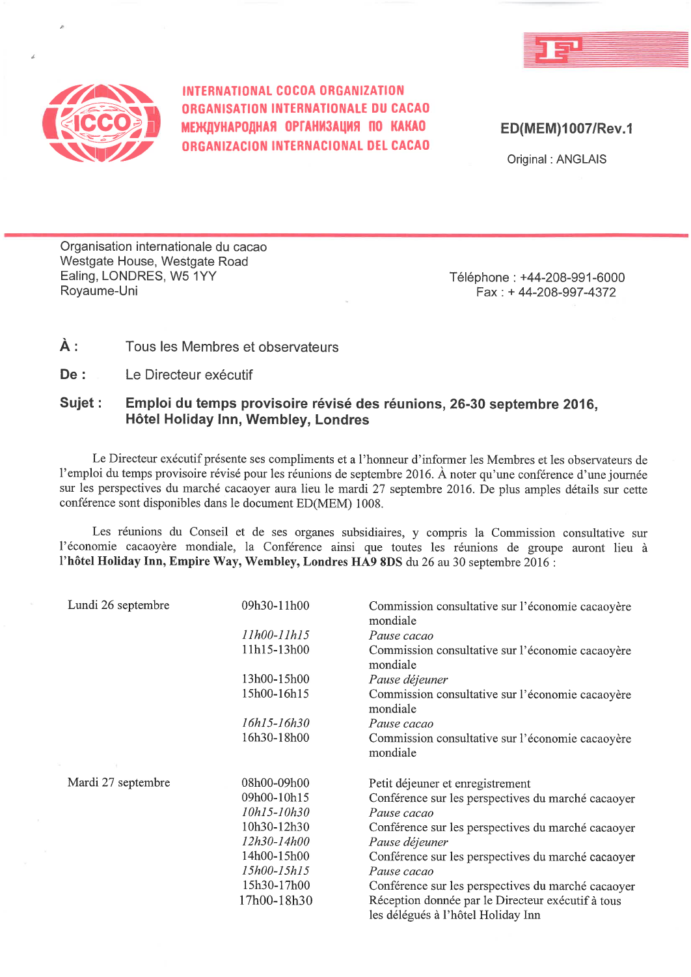



INTERNATIONAL COCOA ORGANIZATION **ORGANISATION INTERNATIONALE DU CACAO** МЕЖДУНАРОДНАЯ ОРГАНИЗАЦИЯ ПО КАКАО ORGANIZACION INTERNACIONAL DEL CACAO

ED(MEM)1007/Rev.1

Original: ANGLAIS

Organisation internationale du cacao Westgate House, Westgate Road Ealing, LONDRES, W5 1YY Royaume-Uni

Téléphone: +44-208-991-6000 Fax: +44-208-997-4372

#### À : Tous les Membres et observateurs

 $De:$ Le Directeur exécutif

#### Sujet: Emploi du temps provisoire révisé des réunions, 26-30 septembre 2016. Hôtel Holiday Inn, Wembley, Londres

Le Directeur exécutif présente ses compliments et a l'honneur d'informer les Membres et les observateurs de l'emploi du temps provisoire révisé pour les réunions de septembre 2016. À noter qu'une conférence d'une journée sur les perspectives du marché cacaoyer aura lieu le mardi 27 septembre 2016. De plus amples détails sur cette conférence sont disponibles dans le document ED(MEM) 1008.

Les réunions du Conseil et de ses organes subsidiaires, y compris la Commission consultative sur l'économie cacaoyère mondiale, la Conférence ainsi que toutes les réunions de groupe auront lieu à l'hôtel Holiday Inn, Empire Way, Wembley, Londres HA9 8DS du 26 au 30 septembre 2016 :

| Lundi 26 septembre | 09h30-11h00        | Commission consultative sur l'économie cacaoyère<br>mondiale |  |
|--------------------|--------------------|--------------------------------------------------------------|--|
|                    | 11h00-11h15        | Pause cacao                                                  |  |
|                    | 11h15-13h00        | Commission consultative sur l'économie cacaoyère<br>mondiale |  |
|                    | 13h00-15h00        | Pause déjeuner                                               |  |
|                    | 15h00-16h15        | Commission consultative sur l'économie cacaoyère<br>mondiale |  |
|                    | 16h15-16h30        | Pause cacao                                                  |  |
|                    | 16h30-18h00        | Commission consultative sur l'économie cacaoyère<br>mondiale |  |
|                    |                    |                                                              |  |
| Mardi 27 septembre | 08h00-09h00        | Petit déjeuner et enregistrement                             |  |
|                    | 09h00-10h15        | Conférence sur les perspectives du marché cacaoyer           |  |
|                    | 10h15-10h30        | Pause cacao                                                  |  |
|                    | 10h30-12h30        | Conférence sur les perspectives du marché cacaoyer           |  |
|                    | 12h30-14h00        | Pause déjeuner                                               |  |
|                    | 14h00-15h00        | Conférence sur les perspectives du marché cacaoyer           |  |
|                    | <i>15h00-15h15</i> | Pause cacao                                                  |  |
|                    | 15h30-17h00        | Conférence sur les perspectives du marché cacaoyer           |  |
|                    | 17h00-18h30        | Réception donnée par le Directeur exécutif à tous            |  |
|                    |                    | les délégués à l'hôtel Holidav Inn                           |  |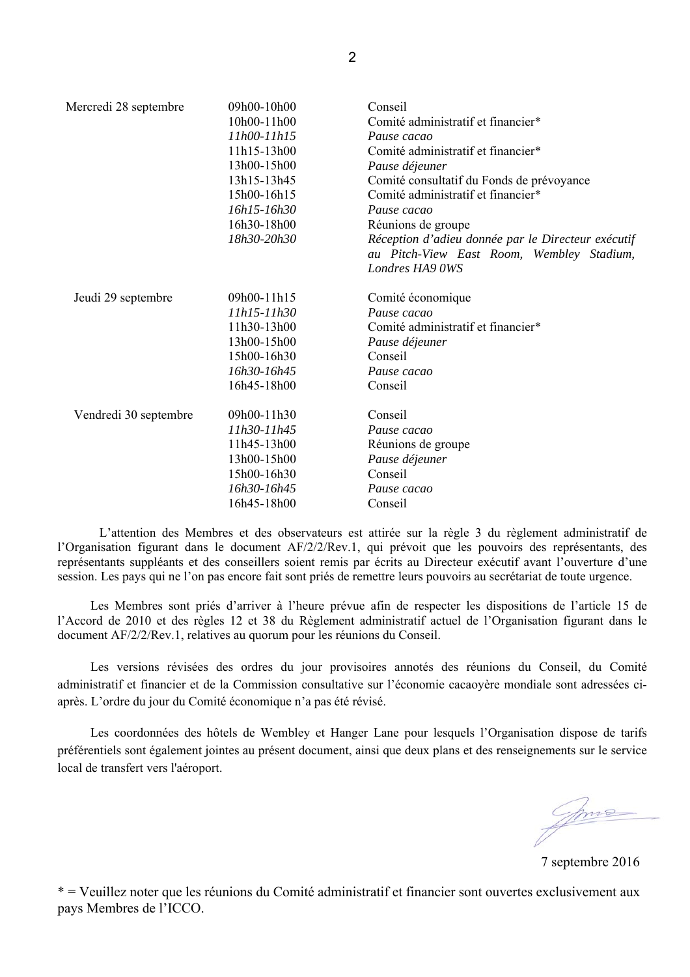| Mercredi 28 septembre | 09h00-10h00 | Conseil                                                                                         |  |  |
|-----------------------|-------------|-------------------------------------------------------------------------------------------------|--|--|
|                       | 10h00-11h00 | Comité administratif et financier*                                                              |  |  |
|                       | 11h00-11h15 | Pause cacao                                                                                     |  |  |
|                       | 11h15-13h00 | Comité administratif et financier*                                                              |  |  |
|                       | 13h00-15h00 | Pause déjeuner                                                                                  |  |  |
|                       | 13h15-13h45 | Comité consultatif du Fonds de prévoyance                                                       |  |  |
|                       | 15h00-16h15 | Comité administratif et financier*                                                              |  |  |
|                       | 16h15-16h30 | Pause cacao                                                                                     |  |  |
|                       | 16h30-18h00 | Réunions de groupe                                                                              |  |  |
|                       | 18h30-20h30 | Réception d'adieu donnée par le Directeur exécutif<br>au Pitch-View East Room, Wembley Stadium, |  |  |
|                       |             | Londres HA9 OWS                                                                                 |  |  |
| Jeudi 29 septembre    | 09h00-11h15 | Comité économique                                                                               |  |  |
|                       | 11h15-11h30 | Pause cacao                                                                                     |  |  |
|                       | 11h30-13h00 | Comité administratif et financier*                                                              |  |  |
|                       | 13h00-15h00 | Pause déjeuner                                                                                  |  |  |
|                       | 15h00-16h30 | Conseil                                                                                         |  |  |
|                       | 16h30-16h45 | Pause cacao                                                                                     |  |  |
|                       | 16h45-18h00 | Conseil                                                                                         |  |  |
| Vendredi 30 septembre | 09h00-11h30 | Conseil                                                                                         |  |  |
|                       | 11h30-11h45 | Pause cacao                                                                                     |  |  |
|                       | 11h45-13h00 | Réunions de groupe                                                                              |  |  |
|                       | 13h00-15h00 | Pause déjeuner                                                                                  |  |  |
|                       | 15h00-16h30 | Conseil                                                                                         |  |  |
|                       | 16h30-16h45 | Pause cacao                                                                                     |  |  |
|                       | 16h45-18h00 | Conseil                                                                                         |  |  |
|                       |             |                                                                                                 |  |  |

 L'attention des Membres et des observateurs est attirée sur la règle 3 du règlement administratif de l'Organisation figurant dans le document AF/2/2/Rev.1, qui prévoit que les pouvoirs des représentants, des représentants suppléants et des conseillers soient remis par écrits au Directeur exécutif avant l'ouverture d'une session. Les pays qui ne l'on pas encore fait sont priés de remettre leurs pouvoirs au secrétariat de toute urgence.

Les Membres sont priés d'arriver à l'heure prévue afin de respecter les dispositions de l'article 15 de l'Accord de 2010 et des règles 12 et 38 du Règlement administratif actuel de l'Organisation figurant dans le document AF/2/2/Rev.1, relatives au quorum pour les réunions du Conseil.

 Les versions révisées des ordres du jour provisoires annotés des réunions du Conseil, du Comité administratif et financier et de la Commission consultative sur l'économie cacaoyère mondiale sont adressées ciaprès. L'ordre du jour du Comité économique n'a pas été révisé.

 Les coordonnées des hôtels de Wembley et Hanger Lane pour lesquels l'Organisation dispose de tarifs préférentiels sont également jointes au présent document, ainsi que deux plans et des renseignements sur le service local de transfert vers l'aéroport.

7 septembre 2016

\* = Veuillez noter que les réunions du Comité administratif et financier sont ouvertes exclusivement aux pays Membres de l'ICCO.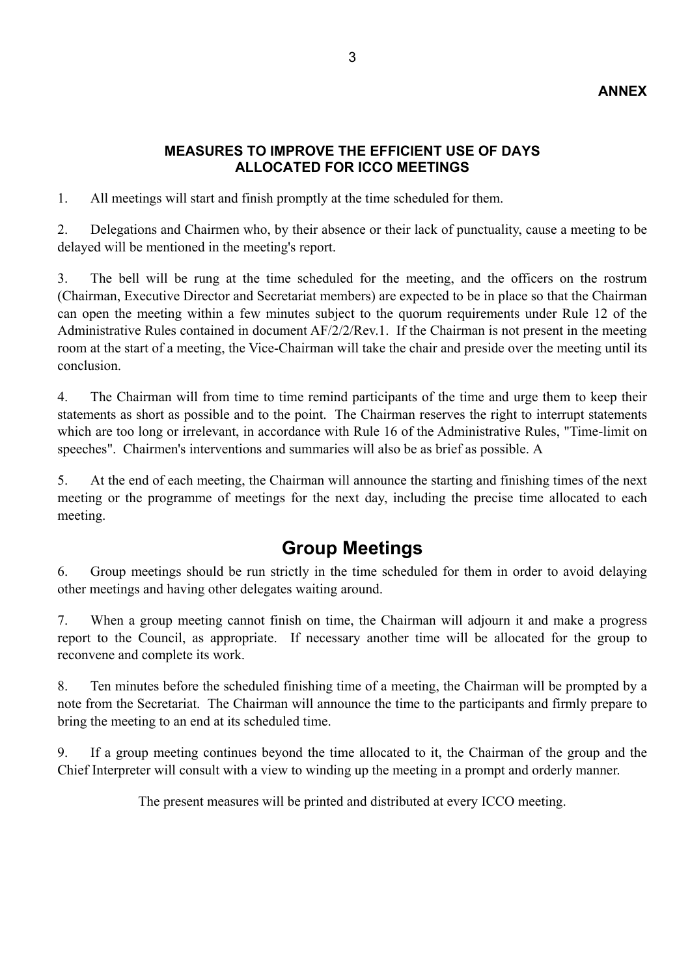### **ANNEX**

### **MEASURES TO IMPROVE THE EFFICIENT USE OF DAYS ALLOCATED FOR ICCO MEETINGS**

1. All meetings will start and finish promptly at the time scheduled for them.

2. Delegations and Chairmen who, by their absence or their lack of punctuality, cause a meeting to be delayed will be mentioned in the meeting's report.

3. The bell will be rung at the time scheduled for the meeting, and the officers on the rostrum (Chairman, Executive Director and Secretariat members) are expected to be in place so that the Chairman can open the meeting within a few minutes subject to the quorum requirements under Rule 12 of the Administrative Rules contained in document AF/2/2/Rev.1. If the Chairman is not present in the meeting room at the start of a meeting, the Vice-Chairman will take the chair and preside over the meeting until its conclusion.

4. The Chairman will from time to time remind participants of the time and urge them to keep their statements as short as possible and to the point. The Chairman reserves the right to interrupt statements which are too long or irrelevant, in accordance with Rule 16 of the Administrative Rules, "Time-limit on speeches". Chairmen's interventions and summaries will also be as brief as possible. A

5. At the end of each meeting, the Chairman will announce the starting and finishing times of the next meeting or the programme of meetings for the next day, including the precise time allocated to each meeting.

# **Group Meetings**

6. Group meetings should be run strictly in the time scheduled for them in order to avoid delaying other meetings and having other delegates waiting around.

7. When a group meeting cannot finish on time, the Chairman will adjourn it and make a progress report to the Council, as appropriate. If necessary another time will be allocated for the group to reconvene and complete its work.

8. Ten minutes before the scheduled finishing time of a meeting, the Chairman will be prompted by a note from the Secretariat. The Chairman will announce the time to the participants and firmly prepare to bring the meeting to an end at its scheduled time.

9. If a group meeting continues beyond the time allocated to it, the Chairman of the group and the Chief Interpreter will consult with a view to winding up the meeting in a prompt and orderly manner.

The present measures will be printed and distributed at every ICCO meeting.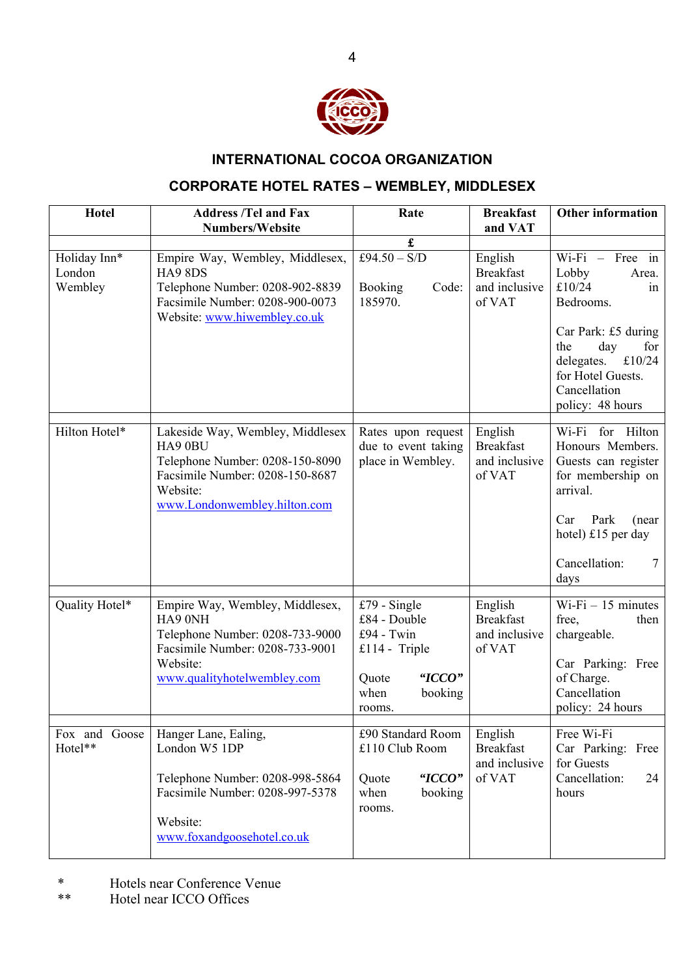

## **INTERNATIONAL COCOA ORGANIZATION**

# **CORPORATE HOTEL RATES – WEMBLEY, MIDDLESEX**

| <b>Hotel</b>                      | <b>Address /Tel and Fax</b><br><b>Numbers/Website</b>                                                                                                         | Rate                                                                                                        | <b>Breakfast</b><br>and VAT                            | <b>Other information</b>                                                                                                                                                                      |
|-----------------------------------|---------------------------------------------------------------------------------------------------------------------------------------------------------------|-------------------------------------------------------------------------------------------------------------|--------------------------------------------------------|-----------------------------------------------------------------------------------------------------------------------------------------------------------------------------------------------|
|                                   |                                                                                                                                                               | £                                                                                                           |                                                        |                                                                                                                                                                                               |
| Holiday Inn*<br>London<br>Wembley | Empire Way, Wembley, Middlesex,<br><b>HA9 8DS</b><br>Telephone Number: 0208-902-8839<br>Facsimile Number: 0208-900-0073<br>Website: www.hiwembley.co.uk       | £94.50 - $S/D$<br><b>Booking</b><br>Code:<br>185970.                                                        | English<br><b>Breakfast</b><br>and inclusive<br>of VAT | $Wi-Fi - Free in$<br>Lobby<br>Area.<br>£10/24<br>in<br>Bedrooms.<br>Car Park: £5 during<br>day<br>for<br>the<br>£10/24<br>delegates.<br>for Hotel Guests.<br>Cancellation<br>policy: 48 hours |
| Hilton Hotel*                     | Lakeside Way, Wembley, Middlesex<br>HA9 0BU<br>Telephone Number: 0208-150-8090<br>Facsimile Number: 0208-150-8687<br>Website:<br>www.Londonwembley.hilton.com | Rates upon request<br>due to event taking<br>place in Wembley.                                              | English<br><b>Breakfast</b><br>and inclusive<br>of VAT | Wi-Fi for Hilton<br>Honours Members.<br>Guests can register<br>for membership on<br>arrival.<br>Park<br>Car<br>(near)<br>hotel) £15 per day<br>Cancellation:<br>7<br>days                     |
| Quality Hotel*                    | Empire Way, Wembley, Middlesex,<br>HA9 0NH<br>Telephone Number: 0208-733-9000<br>Facsimile Number: 0208-733-9001<br>Website:<br>www.qualityhotelwembley.com   | £79 - Single<br>£84 - Double<br>£94 - Twin<br>£114 - Triple<br>"ICCO"<br>Quote<br>when<br>booking<br>rooms. | English<br><b>Breakfast</b><br>and inclusive<br>of VAT | $Wi-Fi - 15$ minutes<br>free,<br>then<br>chargeable.<br>Car Parking: Free<br>of Charge.<br>Cancellation<br>policy: 24 hours                                                                   |
| Fox and Goose<br>Hotel**          | Hanger Lane, Ealing,<br>London W5 1DP<br>Telephone Number: 0208-998-5864<br>Facsimile Number: 0208-997-5378<br>Website:<br>www.foxandgoosehotel.co.uk         | £90 Standard Room<br>£110 Club Room<br>"ICCO"<br>Quote<br>when<br>booking<br>rooms.                         | English<br><b>Breakfast</b><br>and inclusive<br>of VAT | Free Wi-Fi<br>Car Parking: Free<br>for Guests<br>Cancellation:<br>24<br>hours                                                                                                                 |

- \* Hotels near Conference Venue<br>\*\* Hotel near ICCO Offices
- Hotel near ICCO Offices